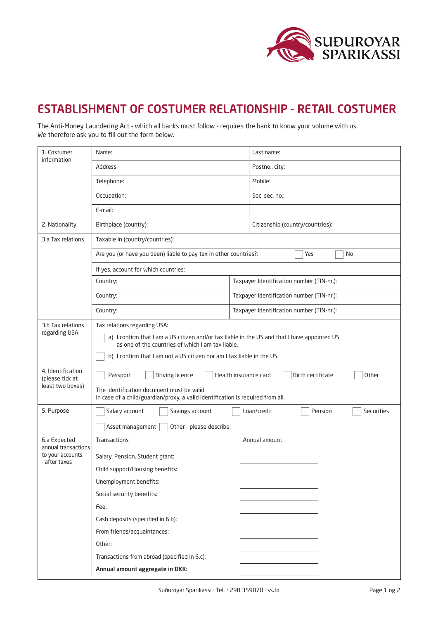

## ESTABLISHMENT OF COSTUMER RELATIONSHIP - RETAIL COSTUMER

The Anti-Money Laundering Act - which all banks must follow - requires the bank to know your volume with us. We therefore ask you to fill out the form below.

| 1. Costumer<br>information                                               | Name:                                                                                                                                                                                                                                                       |                                           | Last name:                                  |  |
|--------------------------------------------------------------------------|-------------------------------------------------------------------------------------------------------------------------------------------------------------------------------------------------------------------------------------------------------------|-------------------------------------------|---------------------------------------------|--|
|                                                                          | Address:                                                                                                                                                                                                                                                    |                                           | Postno., city:                              |  |
|                                                                          | Telephone:                                                                                                                                                                                                                                                  |                                           | Mobile:                                     |  |
|                                                                          | Occupation:                                                                                                                                                                                                                                                 |                                           | Soc. sec. no.:                              |  |
|                                                                          | E-mail:                                                                                                                                                                                                                                                     |                                           |                                             |  |
| 2. Nationality                                                           | Birthplace (country):                                                                                                                                                                                                                                       |                                           | Citizenship (country/countries):            |  |
| 3.a Tax relations                                                        | Taxable in (country/countries):                                                                                                                                                                                                                             |                                           |                                             |  |
|                                                                          | Are you (or have you been) liable to pay tax in other countries?:<br>Yes<br>No                                                                                                                                                                              |                                           |                                             |  |
|                                                                          | If yes, account for which countries:                                                                                                                                                                                                                        |                                           |                                             |  |
|                                                                          | Country:                                                                                                                                                                                                                                                    |                                           | Taxpayer Identification number (TIN-nr.):   |  |
|                                                                          | Country:                                                                                                                                                                                                                                                    | Taxpayer Identification number (TIN-nr.): |                                             |  |
|                                                                          | Country:                                                                                                                                                                                                                                                    | Taxpayer Identification number (TIN-nr.): |                                             |  |
| 3.b Tax relations<br>regarding USA                                       | Tax relations regarding USA:<br>a) I confirm that I am a US citizen and/or tax liable in the US and that I have appointed US<br>as one of the countries of which I am tax liable.<br>b) I confirm that I am not a US citizen nor am I tax liable in the US. |                                           |                                             |  |
| 4. Identification<br>(please tick at<br>least two boxes)                 | Health insurance card<br>Birth certificate<br>Passport<br>Driving licence<br>Other<br>The identification document must be valid.<br>In case of a child/guardian/proxy, a valid identification is required from all.                                         |                                           |                                             |  |
| 5. Purpose                                                               | Salary account<br>Savings account                                                                                                                                                                                                                           |                                           | Loan/credit<br>Pension<br><b>Securities</b> |  |
|                                                                          | Asset management<br>Other - please describe:                                                                                                                                                                                                                |                                           |                                             |  |
| 6.a Expected<br>annual transactions<br>to your accounts<br>- after taxes | Transactions                                                                                                                                                                                                                                                |                                           | Annual amount                               |  |
|                                                                          | Salary, Pension, Student grant:                                                                                                                                                                                                                             |                                           |                                             |  |
|                                                                          | Child support/Housing benefits:                                                                                                                                                                                                                             |                                           |                                             |  |
|                                                                          | Unemployment benefits:                                                                                                                                                                                                                                      |                                           |                                             |  |
|                                                                          | Social security benefits:                                                                                                                                                                                                                                   |                                           |                                             |  |
|                                                                          | Fee:                                                                                                                                                                                                                                                        |                                           |                                             |  |
|                                                                          | Cash deposits (specified in 6.b):                                                                                                                                                                                                                           |                                           |                                             |  |
|                                                                          | From friends/acquaintances:                                                                                                                                                                                                                                 |                                           |                                             |  |
|                                                                          | Other:                                                                                                                                                                                                                                                      |                                           |                                             |  |
|                                                                          | Transactions from abroad (specified in 6.c):                                                                                                                                                                                                                |                                           |                                             |  |
|                                                                          | Annual amount aggregate in DKK:                                                                                                                                                                                                                             |                                           |                                             |  |